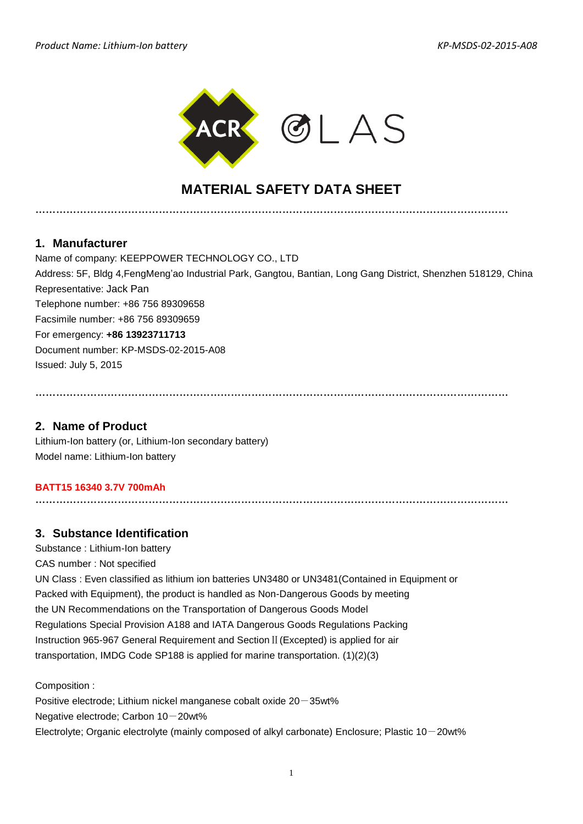

# **MATERIAL SAFETY DATA SHEET**

…………………………………………………………………………………………………………………………

#### **1. Manufacturer**

Name of company: KEEPPOWER TECHNOLOGY CO., LTD Address: 5F, Bldg 4,FengMeng'ao Industrial Park, Gangtou, Bantian, Long Gang District, Shenzhen 518129, China Representative: Jack Pan Telephone number: +86 756 89309658 Facsimile number: +86 756 89309659 For emergency: **+86 13923711713** Document number: KP-MSDS-02-2015-A08 Issued: July 5, 2015

…………………………………………………………………………………………………………………………

…………………………………………………………………………………………………………………………

## **2. Name of Product**

Lithium-Ion battery (or, Lithium-Ion secondary battery) Model name: Lithium-Ion battery

#### **BATT15 16340 3.7V 700mAh**

## **3. Substance Identification**

Substance : Lithium-Ion battery

CAS number : Not specified

UN Class : Even classified as lithium ion batteries UN3480 or UN3481(Contained in Equipment or Packed with Equipment), the product is handled as Non-Dangerous Goods by meeting the UN Recommendations on the Transportation of Dangerous Goods Model Regulations Special Provision A188 and IATA Dangerous Goods Regulations Packing Instruction 965-967 General Requirement and SectionⅡ(Excepted) is applied for air transportation, IMDG Code SP188 is applied for marine transportation. (1)(2)(3)

Composition :

Positive electrode; Lithium nickel manganese cobalt oxide 20-35wt% Negative electrode; Carbon  $10-20$ wt% Electrolyte; Organic electrolyte (mainly composed of alkyl carbonate) Enclosure; Plastic 10-20wt%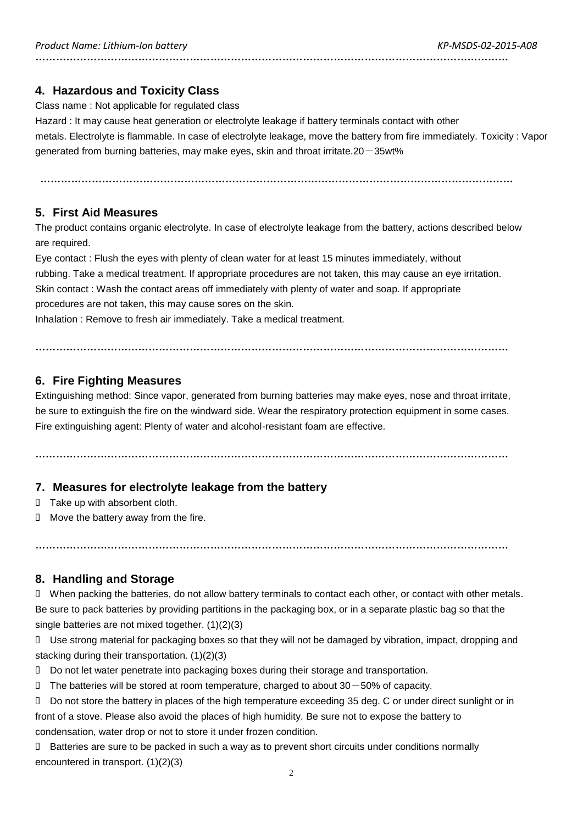## **4. Hazardous and Toxicity Class**

Class name : Not applicable for regulated class

Hazard : It may cause heat generation or electrolyte leakage if battery terminals contact with other metals. Electrolyte is flammable. In case of electrolyte leakage, move the battery from fire immediately. Toxicity : Vapor generated from burning batteries, may make eyes, skin and throat irritate. $20-35$ wt%

…………………………………………………………………………………………………………………………

…………………………………………………………………………………………………………………………

## **5. First Aid Measures**

The product contains organic electrolyte. In case of electrolyte leakage from the battery, actions described below are required.

Eye contact : Flush the eyes with plenty of clean water for at least 15 minutes immediately, without rubbing. Take a medical treatment. If appropriate procedures are not taken, this may cause an eye irritation. Skin contact : Wash the contact areas off immediately with plenty of water and soap. If appropriate procedures are not taken, this may cause sores on the skin.

Inhalation : Remove to fresh air immediately. Take a medical treatment.

## **6. Fire Fighting Measures**

Extinguishing method: Since vapor, generated from burning batteries may make eyes, nose and throat irritate, be sure to extinguish the fire on the windward side. Wear the respiratory protection equipment in some cases. Fire extinguishing agent: Plenty of water and alcohol-resistant foam are effective.

…………………………………………………………………………………………………………………………

…………………………………………………………………………………………………………………………

## **7. Measures for electrolyte leakage from the battery**

- D Take up with absorbent cloth.
- $\Box$  Move the battery away from the fire.

…………………………………………………………………………………………………………………………

## **8. Handling and Storage**

 When packing the batteries, do not allow battery terminals to contact each other, or contact with other metals. Be sure to pack batteries by providing partitions in the packaging box, or in a separate plastic bag so that the single batteries are not mixed together. (1)(2)(3)

 Use strong material for packaging boxes so that they will not be damaged by vibration, impact, dropping and stacking during their transportation. (1)(2)(3)

- Do not let water penetrate into packaging boxes during their storage and transportation.
- $\Box$  The batteries will be stored at room temperature, charged to about 30 $-50\%$  of capacity.
- Do not store the battery in places of the high temperature exceeding 35 deg. C or under direct sunlight or in front of a stove. Please also avoid the places of high humidity. Be sure not to expose the battery to condensation, water drop or not to store it under frozen condition.

 Batteries are sure to be packed in such a way as to prevent short circuits under conditions normally encountered in transport. (1)(2)(3)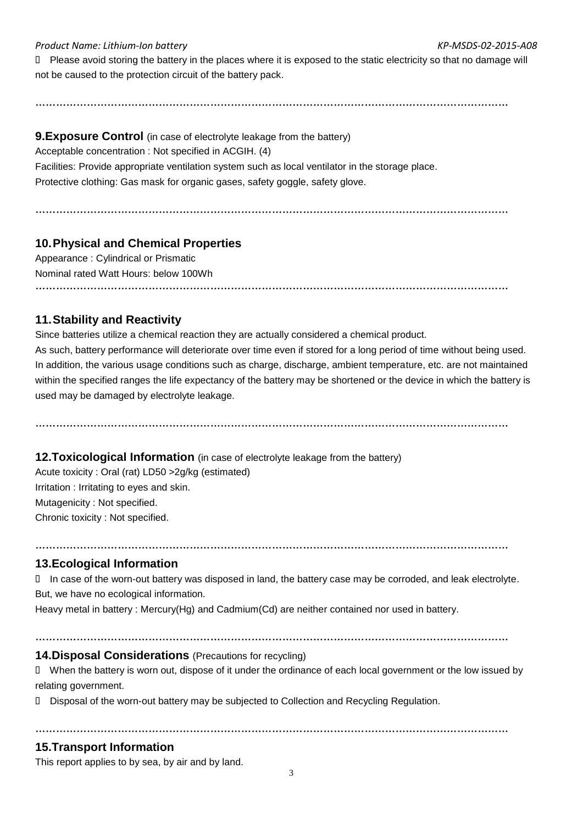Please avoid storing the battery in the places where it is exposed to the static electricity so that no damage will not be caused to the protection circuit of the battery pack.

…………………………………………………………………………………………………………………………

**9. Exposure Control** (in case of electrolyte leakage from the battery) Acceptable concentration : Not specified in ACGIH. (4) Facilities: Provide appropriate ventilation system such as local ventilator in the storage place. Protective clothing: Gas mask for organic gases, safety goggle, safety glove.

…………………………………………………………………………………………………………………………

## **10.Physical and Chemical Properties**

Appearance : Cylindrical or Prismatic Nominal rated Watt Hours: below 100Wh …………………………………………………………………………………………………………………………

## **11.Stability and Reactivity**

Since batteries utilize a chemical reaction they are actually considered a chemical product.

As such, battery performance will deteriorate over time even if stored for a long period of time without being used. In addition, the various usage conditions such as charge, discharge, ambient temperature, etc. are not maintained within the specified ranges the life expectancy of the battery may be shortened or the device in which the battery is used may be damaged by electrolyte leakage.

…………………………………………………………………………………………………………………………

**12.Toxicological Information** (in case of electrolyte leakage from the battery)

Acute toxicity : Oral (rat) LD50 >2g/kg (estimated) Irritation : Irritating to eyes and skin. Mutagenicity : Not specified. Chronic toxicity : Not specified.

#### **13.Ecological Information**

 In case of the worn-out battery was disposed in land, the battery case may be corroded, and leak electrolyte. But, we have no ecological information.

…………………………………………………………………………………………………………………………

Heavy metal in battery : Mercury(Hg) and Cadmium(Cd) are neither contained nor used in battery.

…………………………………………………………………………………………………………………………

…………………………………………………………………………………………………………………………

#### **14.Disposal Considerations** (Precautions for recycling)

 When the battery is worn out, dispose of it under the ordinance of each local government or the low issued by relating government.

Disposal of the worn-out battery may be subjected to Collection and Recycling Regulation.

#### **15.Transport Information**

This report applies to by sea, by air and by land.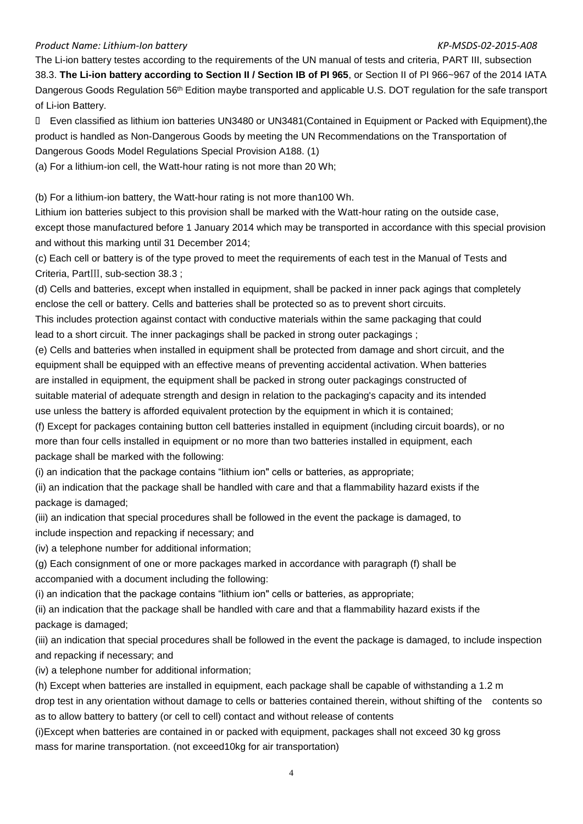The Li-ion battery testes according to the requirements of the UN manual of tests and criteria, PART III, subsection 38.3. **The Li-ion battery according to Section II / Section IB of PI 965**, or Section II of PI 966~967 of the 2014 IATA Dangerous Goods Regulation 56<sup>th</sup> Edition maybe transported and applicable U.S. DOT regulation for the safe transport of Li-ion Battery.

 Even classified as lithium ion batteries UN3480 or UN3481(Contained in Equipment or Packed with Equipment),the product is handled as Non-Dangerous Goods by meeting the UN Recommendations on the Transportation of Dangerous Goods Model Regulations Special Provision A188. (1)

(a) For a lithium-ion cell, the Watt-hour rating is not more than 20 Wh;

(b) For a lithium-ion battery, the Watt-hour rating is not more than100 Wh.

Lithium ion batteries subject to this provision shall be marked with the Watt-hour rating on the outside case, except those manufactured before 1 January 2014 which may be transported in accordance with this special provision and without this marking until 31 December 2014;

(c) Each cell or battery is of the type proved to meet the requirements of each test in the Manual of Tests and Criteria, PartⅢ, sub-section 38.3 ;

(d) Cells and batteries, except when installed in equipment, shall be packed in inner pack agings that completely enclose the cell or battery. Cells and batteries shall be protected so as to prevent short circuits.

This includes protection against contact with conductive materials within the same packaging that could lead to a short circuit. The inner packagings shall be packed in strong outer packagings ;

(e) Cells and batteries when installed in equipment shall be protected from damage and short circuit, and the equipment shall be equipped with an effective means of preventing accidental activation. When batteries are installed in equipment, the equipment shall be packed in strong outer packagings constructed of suitable material of adequate strength and design in relation to the packaging's capacity and its intended use unless the battery is afforded equivalent protection by the equipment in which it is contained;

(f) Except for packages containing button cell batteries installed in equipment (including circuit boards), or no more than four cells installed in equipment or no more than two batteries installed in equipment, each package shall be marked with the following:

(i) an indication that the package contains "lithium ion" cells or batteries, as appropriate;

(ii) an indication that the package shall be handled with care and that a flammability hazard exists if the package is damaged;

(iii) an indication that special procedures shall be followed in the event the package is damaged, to include inspection and repacking if necessary; and

(iv) a telephone number for additional information;

(g) Each consignment of one or more packages marked in accordance with paragraph (f) shall be accompanied with a document including the following:

(i) an indication that the package contains "lithium ion" cells or batteries, as appropriate;

(ii) an indication that the package shall be handled with care and that a flammability hazard exists if the package is damaged;

(iii) an indication that special procedures shall be followed in the event the package is damaged, to include inspection and repacking if necessary; and

(iv) a telephone number for additional information;

(h) Except when batteries are installed in equipment, each package shall be capable of withstanding a 1.2 m drop test in any orientation without damage to cells or batteries contained therein, without shifting of the contents so

as to allow battery to battery (or cell to cell) contact and without release of contents

(i)Except when batteries are contained in or packed with equipment, packages shall not exceed 30 kg gross mass for marine transportation. (not exceed10kg for air transportation)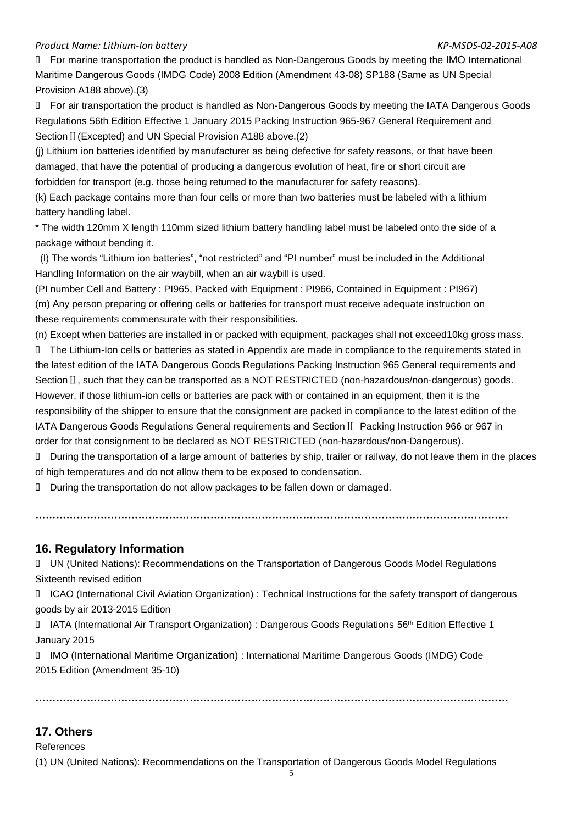For marine transportation the product is handled as Non-Dangerous Goods by meeting the IMO International Maritime Dangerous Goods (IMDG Code) 2008 Edition (Amendment 43-08) SP188 (Same as UN Special Provision A188 above).(3)

 For air transportation the product is handled as Non-Dangerous Goods by meeting the IATA Dangerous Goods Regulations 56th Edition Effective 1 January 2015 Packing Instruction 965-967 General Requirement and SectionⅡ(Excepted) and UN Special Provision A188 above.(2)

(j) Lithium ion batteries identified by manufacturer as being defective for safety reasons, or that have been damaged, that have the potential of producing a dangerous evolution of heat, fire or short circuit are forbidden for transport (e.g. those being returned to the manufacturer for safety reasons).

(k) Each package contains more than four cells or more than two batteries must be labeled with a lithium battery handling label.

\* The width 120mm X length 110mm sized lithium battery handling label must be labeled onto the side of a package without bending it.

(l) The words "Lithium ion batteries", "not restricted" and "PI number" must be included in the Additional Handling Information on the air waybill, when an air waybill is used.

(PI number Cell and Battery : PI965, Packed with Equipment : PI966, Contained in Equipment : PI967) (m) Any person preparing or offering cells or batteries for transport must receive adequate instruction on these requirements commensurate with their responsibilities.

(n) Except when batteries are installed in or packed with equipment, packages shall not exceed10kg gross mass.

 The Lithium-Ion cells or batteries as stated in Appendix are made in compliance to the requirements stated in the latest edition of the IATA Dangerous Goods Regulations Packing Instruction 965 General requirements and Section II, such that they can be transported as a NOT RESTRICTED (non-hazardous/non-dangerous) goods. However, if those lithium-ion cells or batteries are pack with or contained in an equipment, then it is the responsibility of the shipper to ensure that the consignment are packed in compliance to the latest edition of the IATA Dangerous Goods Regulations General requirements and SectionⅡ Packing Instruction 966 or 967 in order for that consignment to be declared as NOT RESTRICTED (non-hazardous/non-Dangerous).

 During the transportation of a large amount of batteries by ship, trailer or railway, do not leave them in the places of high temperatures and do not allow them to be exposed to condensation.

During the transportation do not allow packages to be fallen down or damaged.

## **16. Regulatory Information**

 UN (United Nations): Recommendations on the Transportation of Dangerous Goods Model Regulations Sixteenth revised edition

…………………………………………………………………………………………………………………………

 ICAO (International Civil Aviation Organization) : Technical Instructions for the safety transport of dangerous goods by air 2013-2015 Edition

 IATA (International Air Transport Organization) : Dangerous Goods Regulations 56th Edition Effective 1 January 2015

 IMO (International Maritime Organization) : International Maritime Dangerous Goods (IMDG) Code 2015 Edition (Amendment 35-10)

…………………………………………………………………………………………………………………………

#### **17. Others**

References

(1) UN (United Nations): Recommendations on the Transportation of Dangerous Goods Model Regulations